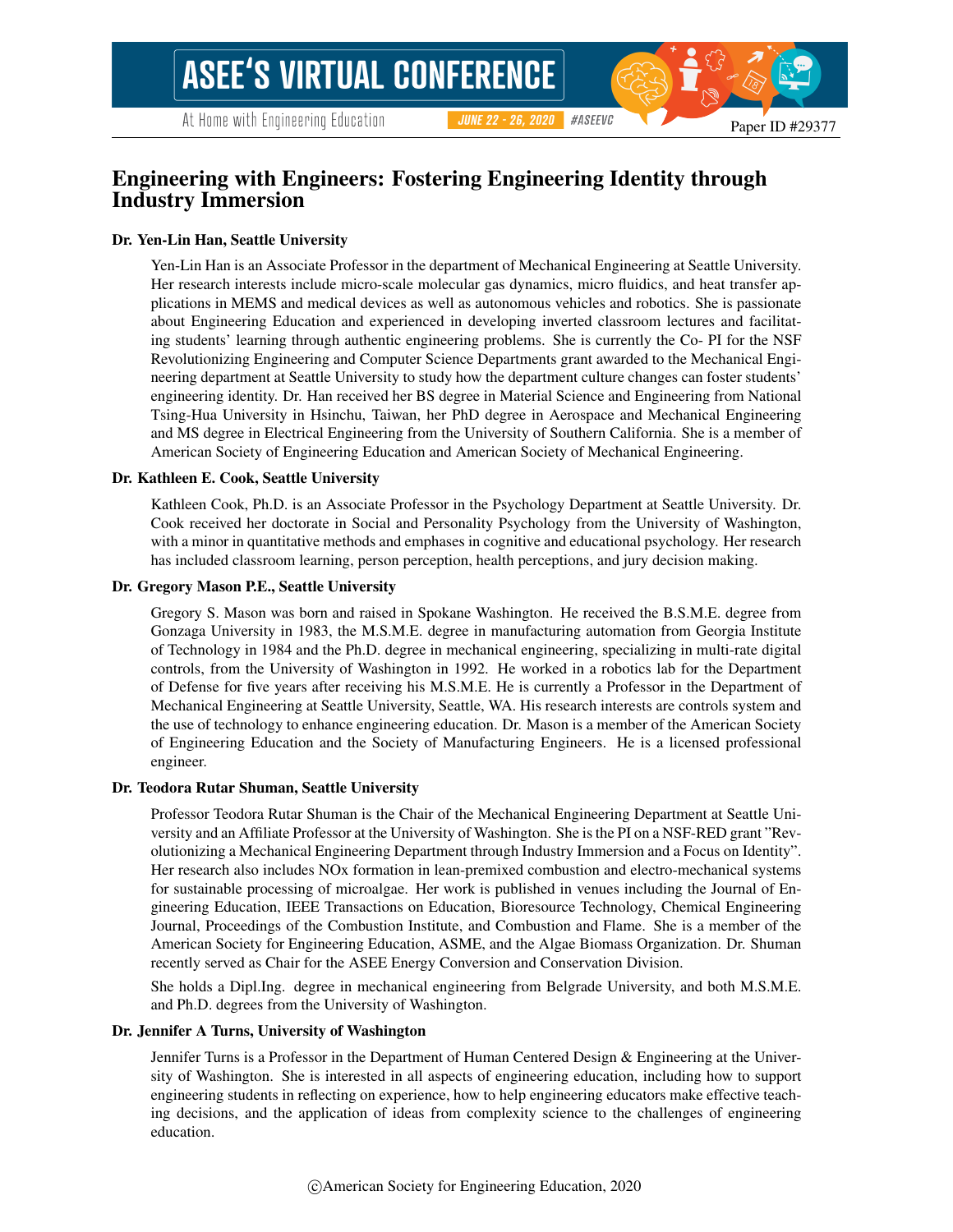# Engineering with Engineers: Fostering Engineering Identity through Industry Immersion

#### Dr. Yen-Lin Han, Seattle University

Yen-Lin Han is an Associate Professor in the department of Mechanical Engineering at Seattle University. Her research interests include micro-scale molecular gas dynamics, micro fluidics, and heat transfer applications in MEMS and medical devices as well as autonomous vehicles and robotics. She is passionate about Engineering Education and experienced in developing inverted classroom lectures and facilitating students' learning through authentic engineering problems. She is currently the Co- PI for the NSF Revolutionizing Engineering and Computer Science Departments grant awarded to the Mechanical Engineering department at Seattle University to study how the department culture changes can foster students' engineering identity. Dr. Han received her BS degree in Material Science and Engineering from National Tsing-Hua University in Hsinchu, Taiwan, her PhD degree in Aerospace and Mechanical Engineering and MS degree in Electrical Engineering from the University of Southern California. She is a member of American Society of Engineering Education and American Society of Mechanical Engineering.

#### Dr. Kathleen E. Cook, Seattle University

Kathleen Cook, Ph.D. is an Associate Professor in the Psychology Department at Seattle University. Dr. Cook received her doctorate in Social and Personality Psychology from the University of Washington, with a minor in quantitative methods and emphases in cognitive and educational psychology. Her research has included classroom learning, person perception, health perceptions, and jury decision making.

#### Dr. Gregory Mason P.E., Seattle University

Gregory S. Mason was born and raised in Spokane Washington. He received the B.S.M.E. degree from Gonzaga University in 1983, the M.S.M.E. degree in manufacturing automation from Georgia Institute of Technology in 1984 and the Ph.D. degree in mechanical engineering, specializing in multi-rate digital controls, from the University of Washington in 1992. He worked in a robotics lab for the Department of Defense for five years after receiving his M.S.M.E. He is currently a Professor in the Department of Mechanical Engineering at Seattle University, Seattle, WA. His research interests are controls system and the use of technology to enhance engineering education. Dr. Mason is a member of the American Society of Engineering Education and the Society of Manufacturing Engineers. He is a licensed professional engineer.

#### Dr. Teodora Rutar Shuman, Seattle University

Professor Teodora Rutar Shuman is the Chair of the Mechanical Engineering Department at Seattle University and an Affiliate Professor at the University of Washington. She is the PI on a NSF-RED grant "Revolutionizing a Mechanical Engineering Department through Industry Immersion and a Focus on Identity". Her research also includes NOx formation in lean-premixed combustion and electro-mechanical systems for sustainable processing of microalgae. Her work is published in venues including the Journal of Engineering Education, IEEE Transactions on Education, Bioresource Technology, Chemical Engineering Journal, Proceedings of the Combustion Institute, and Combustion and Flame. She is a member of the American Society for Engineering Education, ASME, and the Algae Biomass Organization. Dr. Shuman recently served as Chair for the ASEE Energy Conversion and Conservation Division.

She holds a Dipl.Ing. degree in mechanical engineering from Belgrade University, and both M.S.M.E. and Ph.D. degrees from the University of Washington.

#### Dr. Jennifer A Turns, University of Washington

Jennifer Turns is a Professor in the Department of Human Centered Design & Engineering at the University of Washington. She is interested in all aspects of engineering education, including how to support engineering students in reflecting on experience, how to help engineering educators make effective teaching decisions, and the application of ideas from complexity science to the challenges of engineering education.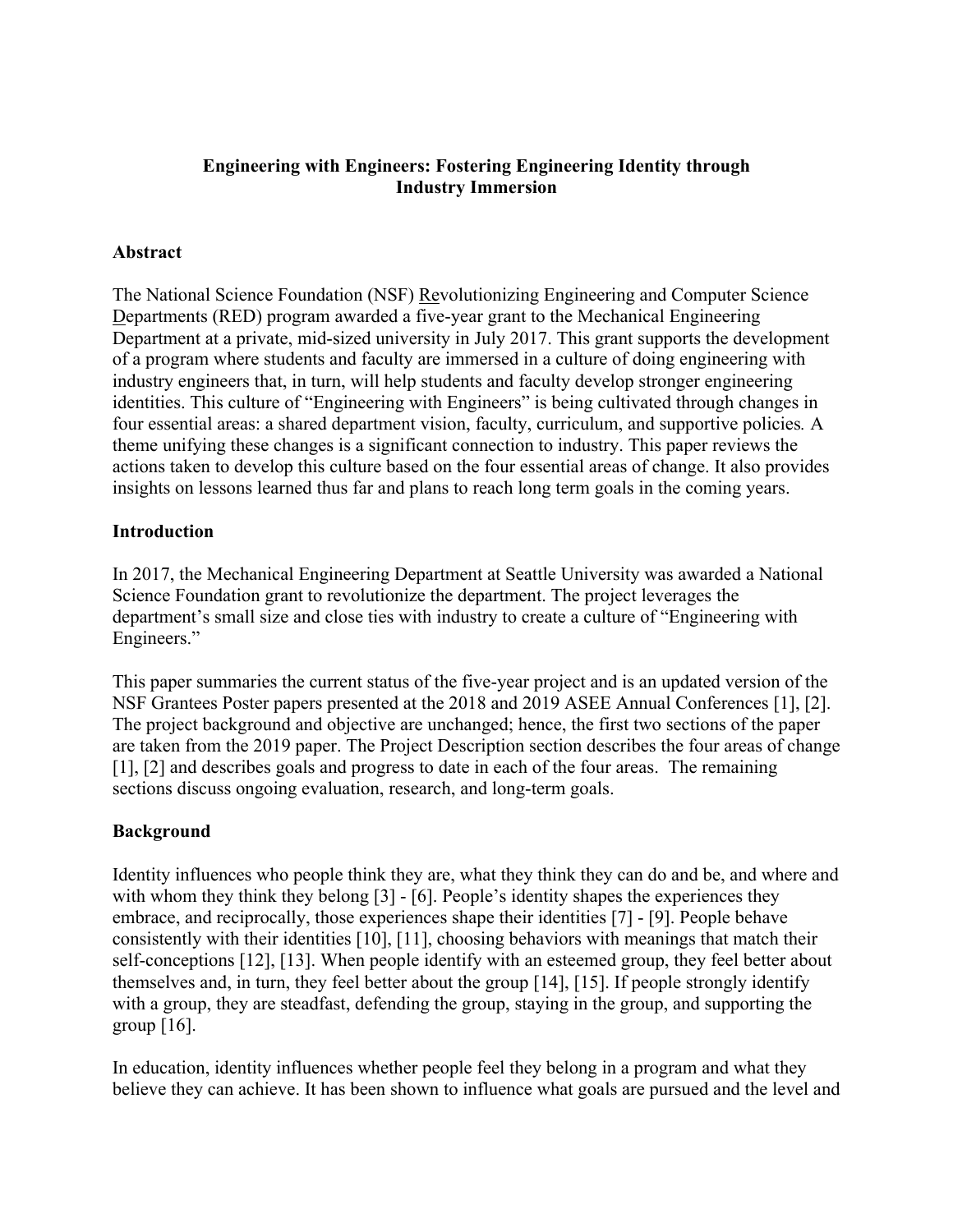### **Engineering with Engineers: Fostering Engineering Identity through Industry Immersion**

#### **Abstract**

The National Science Foundation (NSF) Revolutionizing Engineering and Computer Science Departments (RED) program awarded a five-year grant to the Mechanical Engineering Department at a private, mid-sized university in July 2017. This grant supports the development of a program where students and faculty are immersed in a culture of doing engineering with industry engineers that, in turn, will help students and faculty develop stronger engineering identities. This culture of "Engineering with Engineers" is being cultivated through changes in four essential areas: a shared department vision, faculty, curriculum, and supportive policies*.* A theme unifying these changes is a significant connection to industry. This paper reviews the actions taken to develop this culture based on the four essential areas of change. It also provides insights on lessons learned thus far and plans to reach long term goals in the coming years.

#### **Introduction**

In 2017, the Mechanical Engineering Department at Seattle University was awarded a National Science Foundation grant to revolutionize the department. The project leverages the department's small size and close ties with industry to create a culture of "Engineering with Engineers."

This paper summaries the current status of the five-year project and is an updated version of the NSF Grantees Poster papers presented at the 2018 and 2019 ASEE Annual Conferences [1], [2]. The project background and objective are unchanged; hence, the first two sections of the paper are taken from the 2019 paper. The Project Description section describes the four areas of change [1], [2] and describes goals and progress to date in each of the four areas. The remaining sections discuss ongoing evaluation, research, and long-term goals.

### **Background**

Identity influences who people think they are, what they think they can do and be, and where and with whom they think they belong [3] - [6]. People's identity shapes the experiences they embrace, and reciprocally, those experiences shape their identities [7] - [9]. People behave consistently with their identities [10], [11], choosing behaviors with meanings that match their self-conceptions [12], [13]. When people identify with an esteemed group, they feel better about themselves and, in turn, they feel better about the group [14], [15]. If people strongly identify with a group, they are steadfast, defending the group, staying in the group, and supporting the group  $[16]$ .

In education, identity influences whether people feel they belong in a program and what they believe they can achieve. It has been shown to influence what goals are pursued and the level and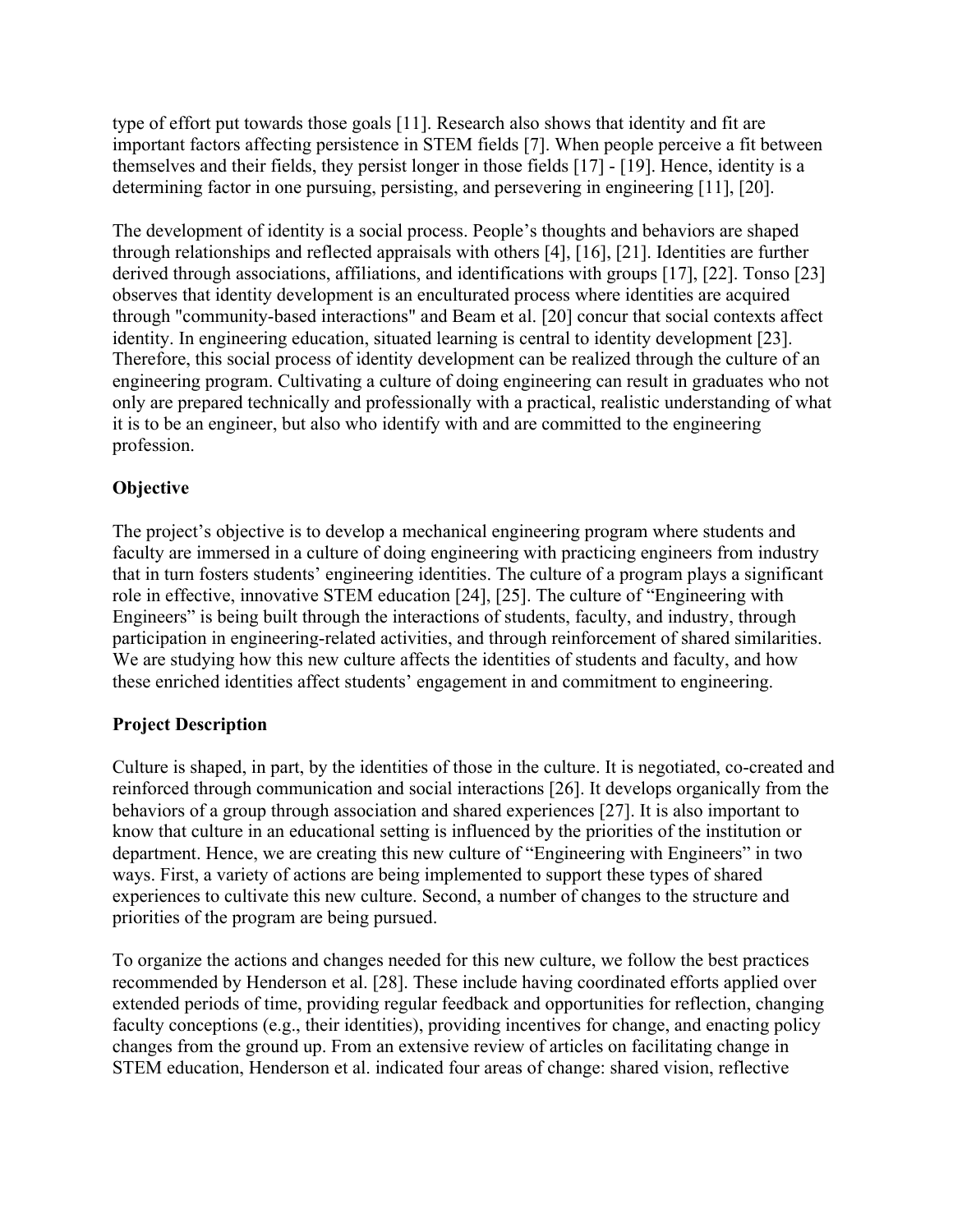type of effort put towards those goals [11]. Research also shows that identity and fit are important factors affecting persistence in STEM fields [7]. When people perceive a fit between themselves and their fields, they persist longer in those fields [17] - [19]. Hence, identity is a determining factor in one pursuing, persisting, and persevering in engineering [11], [20].

The development of identity is a social process. People's thoughts and behaviors are shaped through relationships and reflected appraisals with others [4], [16], [21]. Identities are further derived through associations, affiliations, and identifications with groups [17], [22]. Tonso [23] observes that identity development is an enculturated process where identities are acquired through "community-based interactions" and Beam et al. [20] concur that social contexts affect identity. In engineering education, situated learning is central to identity development [23]. Therefore, this social process of identity development can be realized through the culture of an engineering program. Cultivating a culture of doing engineering can result in graduates who not only are prepared technically and professionally with a practical, realistic understanding of what it is to be an engineer, but also who identify with and are committed to the engineering profession.

# **Objective**

The project's objective is to develop a mechanical engineering program where students and faculty are immersed in a culture of doing engineering with practicing engineers from industry that in turn fosters students' engineering identities. The culture of a program plays a significant role in effective, innovative STEM education [24], [25]. The culture of "Engineering with Engineers" is being built through the interactions of students, faculty, and industry, through participation in engineering-related activities, and through reinforcement of shared similarities. We are studying how this new culture affects the identities of students and faculty, and how these enriched identities affect students' engagement in and commitment to engineering.

# **Project Description**

Culture is shaped, in part, by the identities of those in the culture. It is negotiated, co-created and reinforced through communication and social interactions [26]. It develops organically from the behaviors of a group through association and shared experiences [27]. It is also important to know that culture in an educational setting is influenced by the priorities of the institution or department. Hence, we are creating this new culture of "Engineering with Engineers" in two ways. First, a variety of actions are being implemented to support these types of shared experiences to cultivate this new culture. Second, a number of changes to the structure and priorities of the program are being pursued.

To organize the actions and changes needed for this new culture, we follow the best practices recommended by Henderson et al. [28]. These include having coordinated efforts applied over extended periods of time, providing regular feedback and opportunities for reflection, changing faculty conceptions (e.g., their identities), providing incentives for change, and enacting policy changes from the ground up. From an extensive review of articles on facilitating change in STEM education, Henderson et al. indicated four areas of change: shared vision, reflective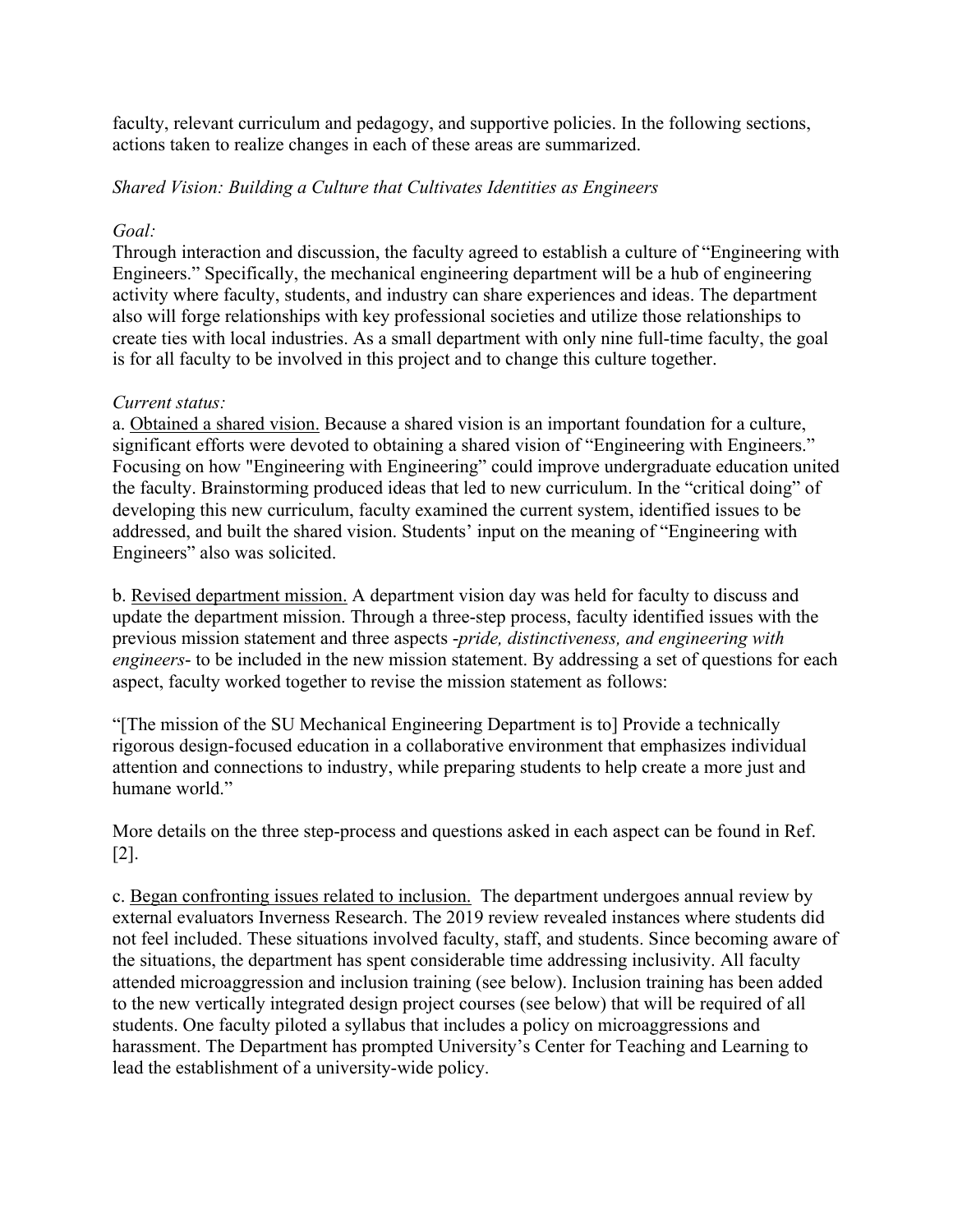faculty, relevant curriculum and pedagogy, and supportive policies. In the following sections, actions taken to realize changes in each of these areas are summarized.

#### *Shared Vision: Building a Culture that Cultivates Identities as Engineers*

#### *Goal:*

Through interaction and discussion, the faculty agreed to establish a culture of "Engineering with Engineers." Specifically, the mechanical engineering department will be a hub of engineering activity where faculty, students, and industry can share experiences and ideas. The department also will forge relationships with key professional societies and utilize those relationships to create ties with local industries. As a small department with only nine full-time faculty, the goal is for all faculty to be involved in this project and to change this culture together.

#### *Current status:*

a. Obtained a shared vision. Because a shared vision is an important foundation for a culture, significant efforts were devoted to obtaining a shared vision of "Engineering with Engineers." Focusing on how "Engineering with Engineering" could improve undergraduate education united the faculty. Brainstorming produced ideas that led to new curriculum. In the "critical doing" of developing this new curriculum, faculty examined the current system, identified issues to be addressed, and built the shared vision. Students' input on the meaning of "Engineering with Engineers" also was solicited.

b. Revised department mission. A department vision day was held for faculty to discuss and update the department mission. Through a three-step process, faculty identified issues with the previous mission statement and three aspects -*pride, distinctiveness, and engineering with engineers*- to be included in the new mission statement. By addressing a set of questions for each aspect, faculty worked together to revise the mission statement as follows:

"[The mission of the SU Mechanical Engineering Department is to] Provide a technically rigorous design-focused education in a collaborative environment that emphasizes individual attention and connections to industry, while preparing students to help create a more just and humane world."

More details on the three step-process and questions asked in each aspect can be found in Ref. [2].

c. Began confronting issues related to inclusion. The department undergoes annual review by external evaluators Inverness Research. The 2019 review revealed instances where students did not feel included. These situations involved faculty, staff, and students. Since becoming aware of the situations, the department has spent considerable time addressing inclusivity. All faculty attended microaggression and inclusion training (see below). Inclusion training has been added to the new vertically integrated design project courses (see below) that will be required of all students. One faculty piloted a syllabus that includes a policy on microaggressions and harassment. The Department has prompted University's Center for Teaching and Learning to lead the establishment of a university-wide policy.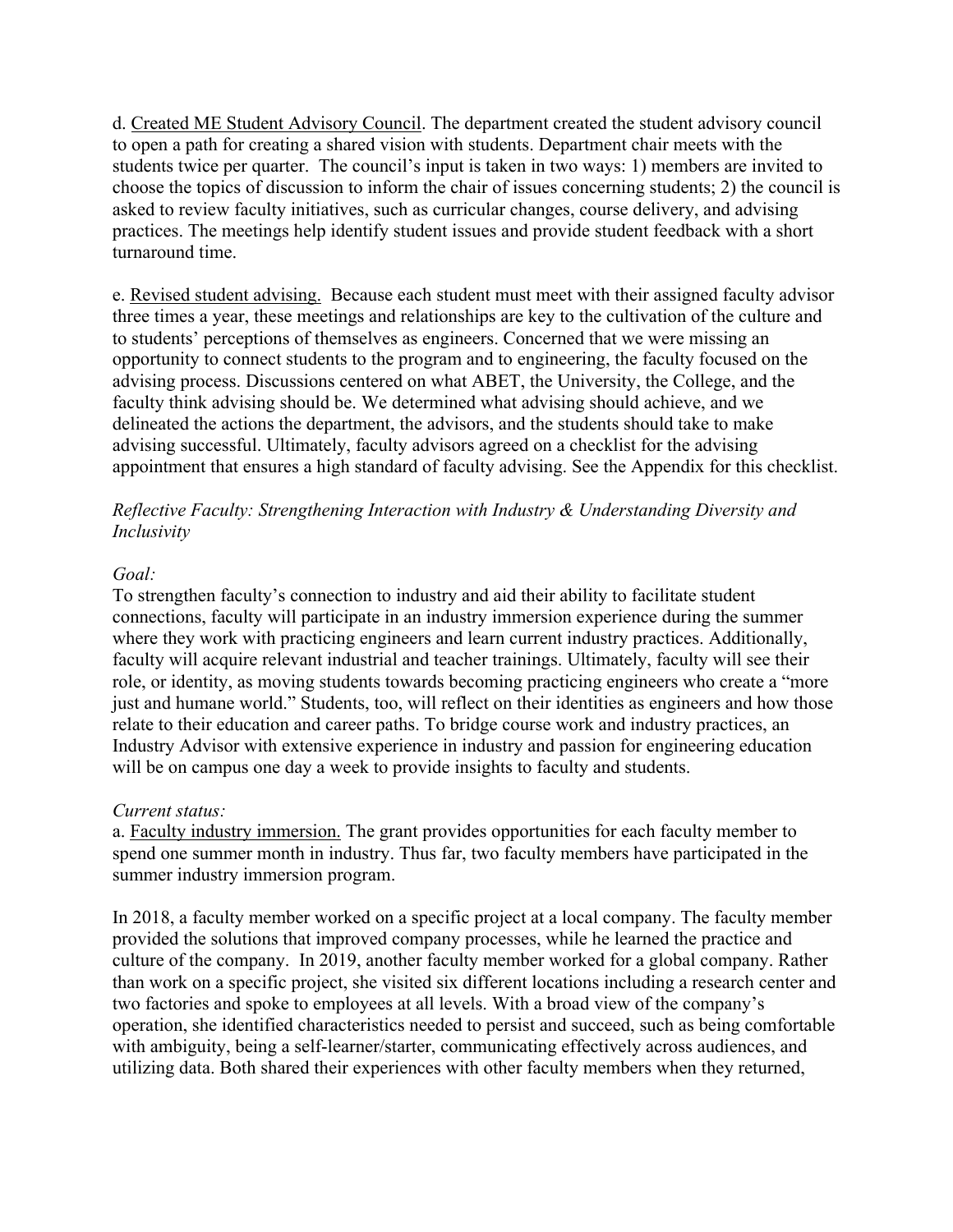d. Created ME Student Advisory Council. The department created the student advisory council to open a path for creating a shared vision with students. Department chair meets with the students twice per quarter. The council's input is taken in two ways: 1) members are invited to choose the topics of discussion to inform the chair of issues concerning students; 2) the council is asked to review faculty initiatives, such as curricular changes, course delivery, and advising practices. The meetings help identify student issues and provide student feedback with a short turnaround time.

e. Revised student advising. Because each student must meet with their assigned faculty advisor three times a year, these meetings and relationships are key to the cultivation of the culture and to students' perceptions of themselves as engineers. Concerned that we were missing an opportunity to connect students to the program and to engineering, the faculty focused on the advising process. Discussions centered on what ABET, the University, the College, and the faculty think advising should be. We determined what advising should achieve, and we delineated the actions the department, the advisors, and the students should take to make advising successful. Ultimately, faculty advisors agreed on a checklist for the advising appointment that ensures a high standard of faculty advising. See the Appendix for this checklist.

## *Reflective Faculty: Strengthening Interaction with Industry & Understanding Diversity and Inclusivity*

#### *Goal:*

To strengthen faculty's connection to industry and aid their ability to facilitate student connections, faculty will participate in an industry immersion experience during the summer where they work with practicing engineers and learn current industry practices. Additionally, faculty will acquire relevant industrial and teacher trainings. Ultimately, faculty will see their role, or identity, as moving students towards becoming practicing engineers who create a "more just and humane world." Students, too, will reflect on their identities as engineers and how those relate to their education and career paths. To bridge course work and industry practices, an Industry Advisor with extensive experience in industry and passion for engineering education will be on campus one day a week to provide insights to faculty and students.

### *Current status:*

a. Faculty industry immersion. The grant provides opportunities for each faculty member to spend one summer month in industry. Thus far, two faculty members have participated in the summer industry immersion program.

In 2018, a faculty member worked on a specific project at a local company. The faculty member provided the solutions that improved company processes, while he learned the practice and culture of the company. In 2019, another faculty member worked for a global company. Rather than work on a specific project, she visited six different locations including a research center and two factories and spoke to employees at all levels. With a broad view of the company's operation, she identified characteristics needed to persist and succeed, such as being comfortable with ambiguity, being a self-learner/starter, communicating effectively across audiences, and utilizing data. Both shared their experiences with other faculty members when they returned,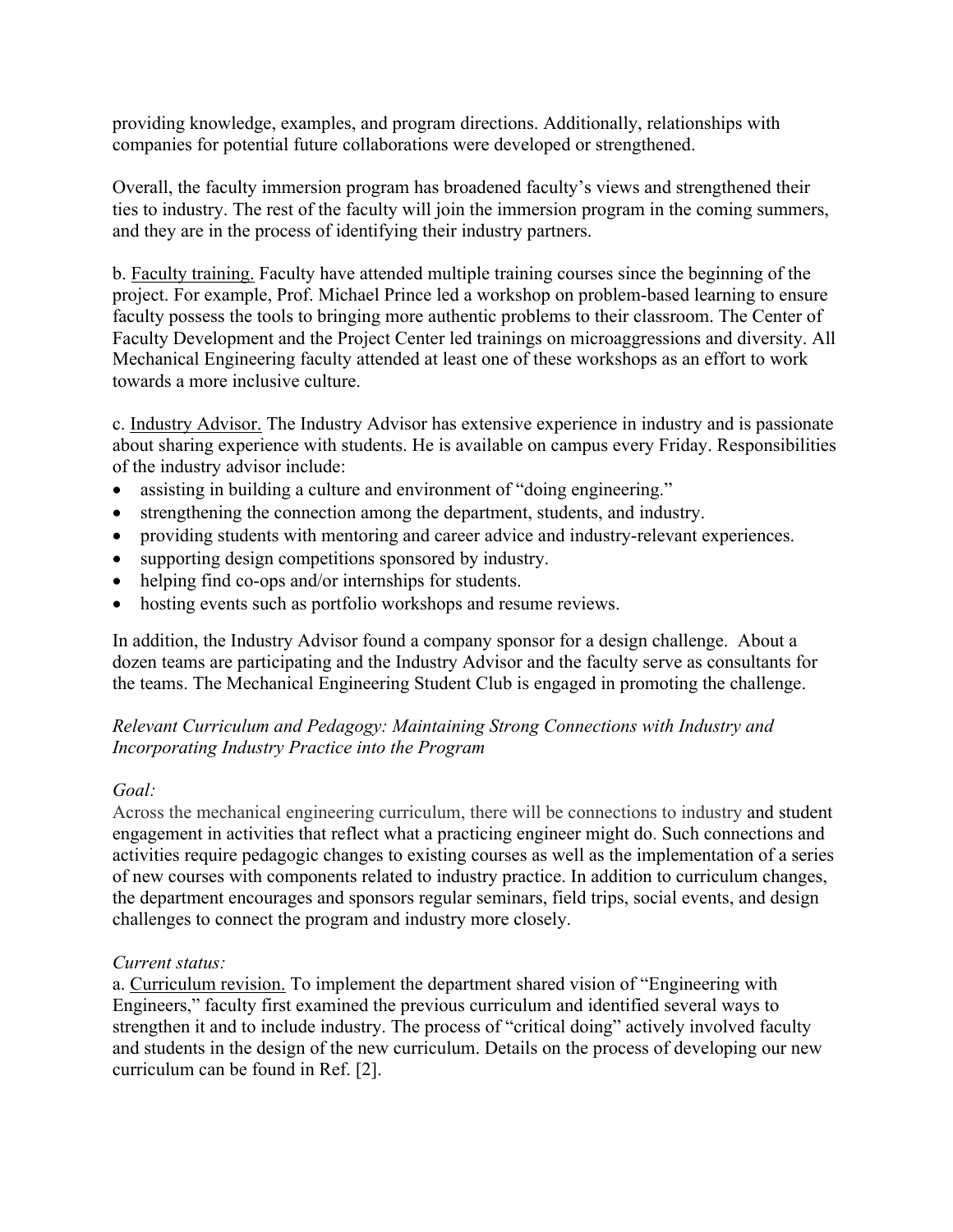providing knowledge, examples, and program directions. Additionally, relationships with companies for potential future collaborations were developed or strengthened.

Overall, the faculty immersion program has broadened faculty's views and strengthened their ties to industry. The rest of the faculty will join the immersion program in the coming summers, and they are in the process of identifying their industry partners.

b. Faculty training. Faculty have attended multiple training courses since the beginning of the project. For example, Prof. Michael Prince led a workshop on problem-based learning to ensure faculty possess the tools to bringing more authentic problems to their classroom. The Center of Faculty Development and the Project Center led trainings on microaggressions and diversity. All Mechanical Engineering faculty attended at least one of these workshops as an effort to work towards a more inclusive culture.

c. Industry Advisor. The Industry Advisor has extensive experience in industry and is passionate about sharing experience with students. He is available on campus every Friday. Responsibilities of the industry advisor include:

- assisting in building a culture and environment of "doing engineering."
- strengthening the connection among the department, students, and industry.
- providing students with mentoring and career advice and industry-relevant experiences.
- supporting design competitions sponsored by industry.
- helping find co-ops and/or internships for students.
- hosting events such as portfolio workshops and resume reviews.

In addition, the Industry Advisor found a company sponsor for a design challenge. About a dozen teams are participating and the Industry Advisor and the faculty serve as consultants for the teams. The Mechanical Engineering Student Club is engaged in promoting the challenge.

### *Relevant Curriculum and Pedagogy: Maintaining Strong Connections with Industry and Incorporating Industry Practice into the Program*

#### *Goal:*

Across the mechanical engineering curriculum, there will be connections to industry and student engagement in activities that reflect what a practicing engineer might do. Such connections and activities require pedagogic changes to existing courses as well as the implementation of a series of new courses with components related to industry practice. In addition to curriculum changes, the department encourages and sponsors regular seminars, field trips, social events, and design challenges to connect the program and industry more closely.

#### *Current status:*

a. Curriculum revision. To implement the department shared vision of "Engineering with Engineers," faculty first examined the previous curriculum and identified several ways to strengthen it and to include industry. The process of "critical doing" actively involved faculty and students in the design of the new curriculum. Details on the process of developing our new curriculum can be found in Ref. [2].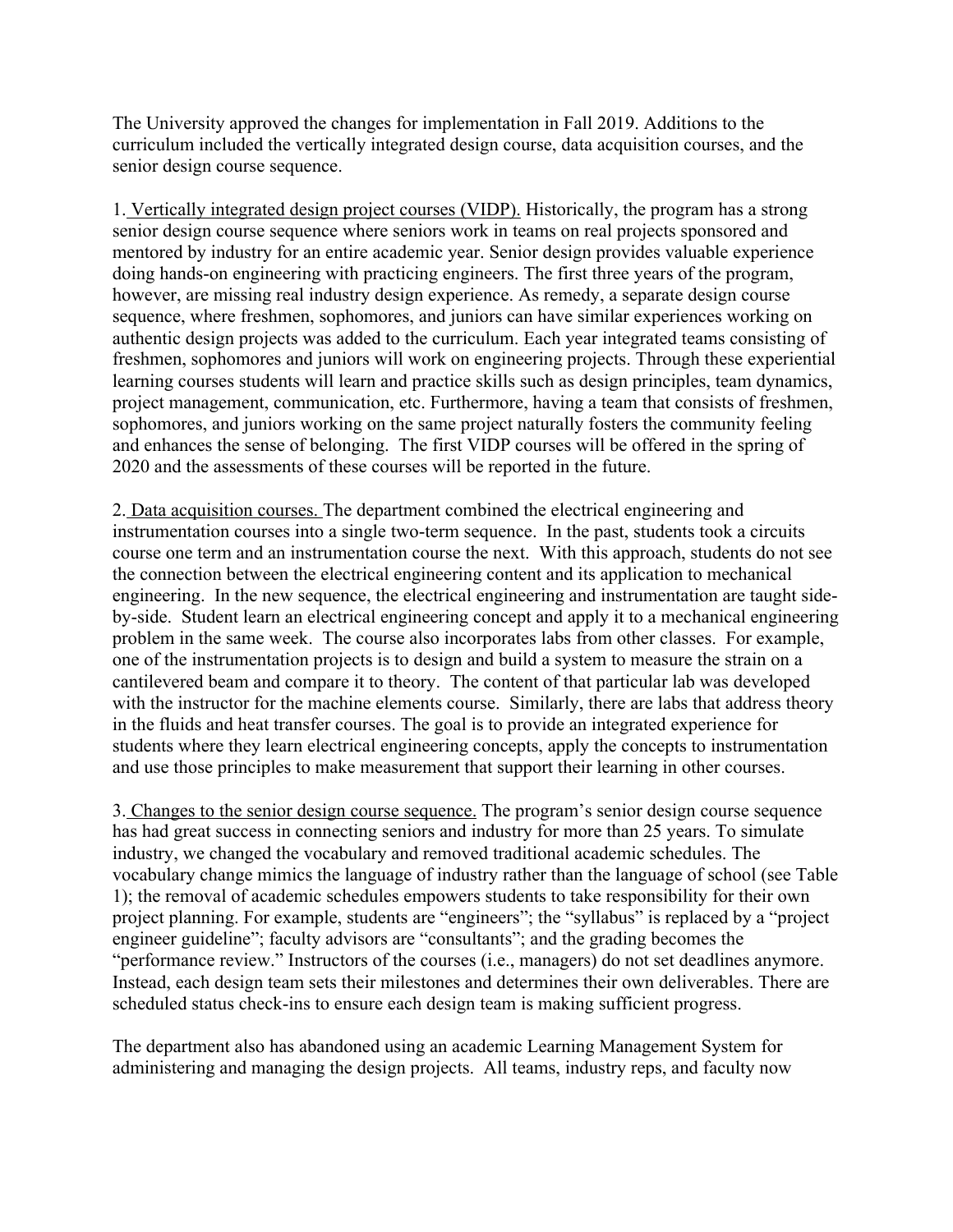The University approved the changes for implementation in Fall 2019. Additions to the curriculum included the vertically integrated design course, data acquisition courses, and the senior design course sequence.

1. Vertically integrated design project courses (VIDP). Historically, the program has a strong senior design course sequence where seniors work in teams on real projects sponsored and mentored by industry for an entire academic year. Senior design provides valuable experience doing hands-on engineering with practicing engineers. The first three years of the program, however, are missing real industry design experience. As remedy, a separate design course sequence, where freshmen, sophomores, and juniors can have similar experiences working on authentic design projects was added to the curriculum. Each year integrated teams consisting of freshmen, sophomores and juniors will work on engineering projects. Through these experiential learning courses students will learn and practice skills such as design principles, team dynamics, project management, communication, etc. Furthermore, having a team that consists of freshmen, sophomores, and juniors working on the same project naturally fosters the community feeling and enhances the sense of belonging. The first VIDP courses will be offered in the spring of 2020 and the assessments of these courses will be reported in the future.

2. Data acquisition courses. The department combined the electrical engineering and instrumentation courses into a single two-term sequence. In the past, students took a circuits course one term and an instrumentation course the next. With this approach, students do not see the connection between the electrical engineering content and its application to mechanical engineering. In the new sequence, the electrical engineering and instrumentation are taught sideby-side. Student learn an electrical engineering concept and apply it to a mechanical engineering problem in the same week. The course also incorporates labs from other classes. For example, one of the instrumentation projects is to design and build a system to measure the strain on a cantilevered beam and compare it to theory. The content of that particular lab was developed with the instructor for the machine elements course. Similarly, there are labs that address theory in the fluids and heat transfer courses. The goal is to provide an integrated experience for students where they learn electrical engineering concepts, apply the concepts to instrumentation and use those principles to make measurement that support their learning in other courses.

3. Changes to the senior design course sequence. The program's senior design course sequence has had great success in connecting seniors and industry for more than 25 years. To simulate industry, we changed the vocabulary and removed traditional academic schedules. The vocabulary change mimics the language of industry rather than the language of school (see Table 1); the removal of academic schedules empowers students to take responsibility for their own project planning. For example, students are "engineers"; the "syllabus" is replaced by a "project engineer guideline"; faculty advisors are "consultants"; and the grading becomes the "performance review." Instructors of the courses (i.e., managers) do not set deadlines anymore. Instead, each design team sets their milestones and determines their own deliverables. There are scheduled status check-ins to ensure each design team is making sufficient progress.

The department also has abandoned using an academic Learning Management System for administering and managing the design projects. All teams, industry reps, and faculty now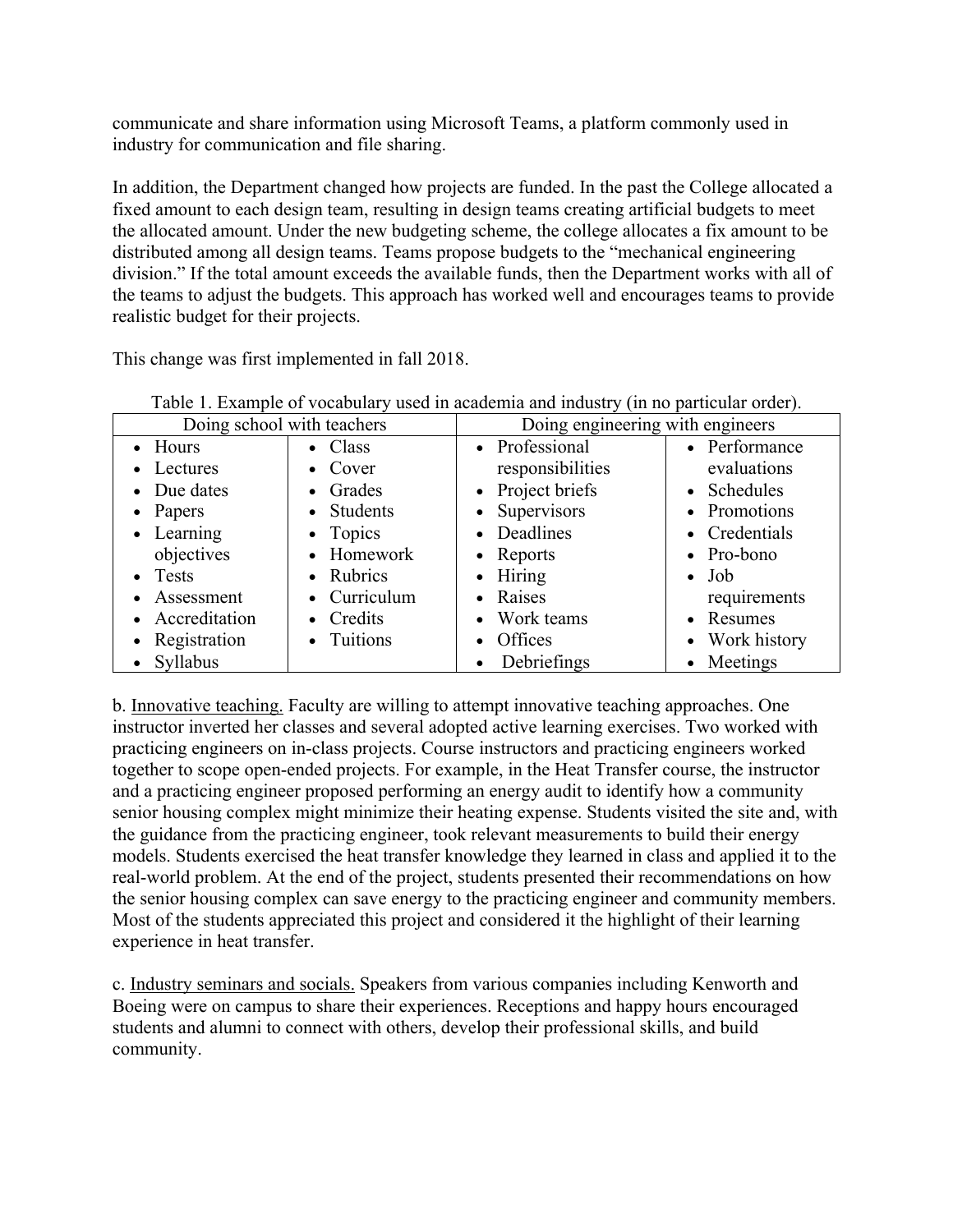communicate and share information using Microsoft Teams, a platform commonly used in industry for communication and file sharing.

In addition, the Department changed how projects are funded. In the past the College allocated a fixed amount to each design team, resulting in design teams creating artificial budgets to meet the allocated amount. Under the new budgeting scheme, the college allocates a fix amount to be distributed among all design teams. Teams propose budgets to the "mechanical engineering division." If the total amount exceeds the available funds, then the Department works with all of the teams to adjust the budgets. This approach has worked well and encourages teams to provide realistic budget for their projects.

This change was first implemented in fall 2018.

| Doing school with teachers                                                                                                         |                                                                                                                                  | Doing engineering with engineers                                                                                                                    |                                                                                                                                          |
|------------------------------------------------------------------------------------------------------------------------------------|----------------------------------------------------------------------------------------------------------------------------------|-----------------------------------------------------------------------------------------------------------------------------------------------------|------------------------------------------------------------------------------------------------------------------------------------------|
| • Hours<br>• Lectures<br>• Due dates<br>$\bullet$ Papers<br>• Learning<br>objectives<br>• Tests<br>• Assessment<br>• Accreditation | $\bullet$ Class<br>• Cover<br>• Grades<br>• Students<br>$\bullet$ Topics<br>• Homework<br>• Rubrics<br>• Curriculum<br>• Credits | • Professional<br>responsibilities<br>• Project briefs<br>• Supervisors<br>• Deadlines<br>• Reports<br>$\bullet$ Hiring<br>• Raises<br>• Work teams | • Performance<br>evaluations<br>• Schedules<br>• Promotions<br>• Credentials<br>• Pro-bono<br>$\bullet$ Job<br>requirements<br>• Resumes |
| • Registration<br>• Syllabus                                                                                                       | • Tuitions                                                                                                                       | Offices<br>$\bullet$<br>Debriefings<br>$\bullet$                                                                                                    | • Work history<br>• Meetings                                                                                                             |

Table 1. Example of vocabulary used in academia and industry (in no particular order).

b. Innovative teaching. Faculty are willing to attempt innovative teaching approaches. One instructor inverted her classes and several adopted active learning exercises. Two worked with practicing engineers on in-class projects. Course instructors and practicing engineers worked together to scope open-ended projects. For example, in the Heat Transfer course, the instructor and a practicing engineer proposed performing an energy audit to identify how a community senior housing complex might minimize their heating expense. Students visited the site and, with the guidance from the practicing engineer, took relevant measurements to build their energy models. Students exercised the heat transfer knowledge they learned in class and applied it to the real-world problem. At the end of the project, students presented their recommendations on how the senior housing complex can save energy to the practicing engineer and community members. Most of the students appreciated this project and considered it the highlight of their learning experience in heat transfer.

c. Industry seminars and socials. Speakers from various companies including Kenworth and Boeing were on campus to share their experiences. Receptions and happy hours encouraged students and alumni to connect with others, develop their professional skills, and build community.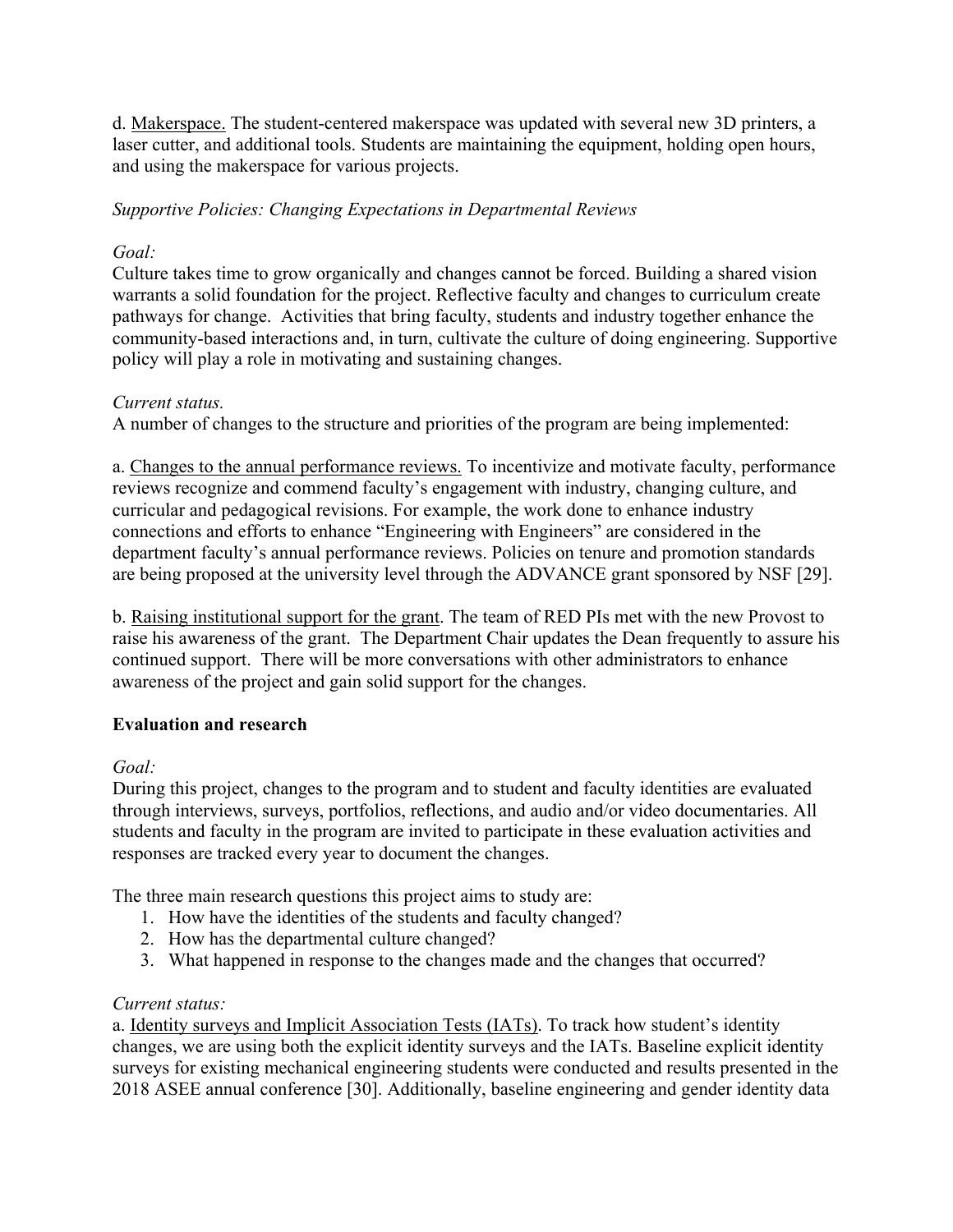d. Makerspace. The student-centered makerspace was updated with several new 3D printers, a laser cutter, and additional tools. Students are maintaining the equipment, holding open hours, and using the makerspace for various projects.

# *Supportive Policies: Changing Expectations in Departmental Reviews*

# *Goal:*

Culture takes time to grow organically and changes cannot be forced. Building a shared vision warrants a solid foundation for the project. Reflective faculty and changes to curriculum create pathways for change. Activities that bring faculty, students and industry together enhance the community-based interactions and, in turn, cultivate the culture of doing engineering. Supportive policy will play a role in motivating and sustaining changes.

# *Current status.*

A number of changes to the structure and priorities of the program are being implemented:

a. Changes to the annual performance reviews. To incentivize and motivate faculty, performance reviews recognize and commend faculty's engagement with industry, changing culture, and curricular and pedagogical revisions. For example, the work done to enhance industry connections and efforts to enhance "Engineering with Engineers" are considered in the department faculty's annual performance reviews. Policies on tenure and promotion standards are being proposed at the university level through the ADVANCE grant sponsored by NSF [29].

b. Raising institutional support for the grant. The team of RED PIs met with the new Provost to raise his awareness of the grant. The Department Chair updates the Dean frequently to assure his continued support. There will be more conversations with other administrators to enhance awareness of the project and gain solid support for the changes.

### **Evaluation and research**

*Goal:*

During this project, changes to the program and to student and faculty identities are evaluated through interviews, surveys, portfolios, reflections, and audio and/or video documentaries. All students and faculty in the program are invited to participate in these evaluation activities and responses are tracked every year to document the changes.

The three main research questions this project aims to study are:

- 1. How have the identities of the students and faculty changed?
- 2. How has the departmental culture changed?
- 3. What happened in response to the changes made and the changes that occurred?

### *Current status:*

a. Identity surveys and Implicit Association Tests (IATs). To track how student's identity changes, we are using both the explicit identity surveys and the IATs. Baseline explicit identity surveys for existing mechanical engineering students were conducted and results presented in the 2018 ASEE annual conference [30]. Additionally, baseline engineering and gender identity data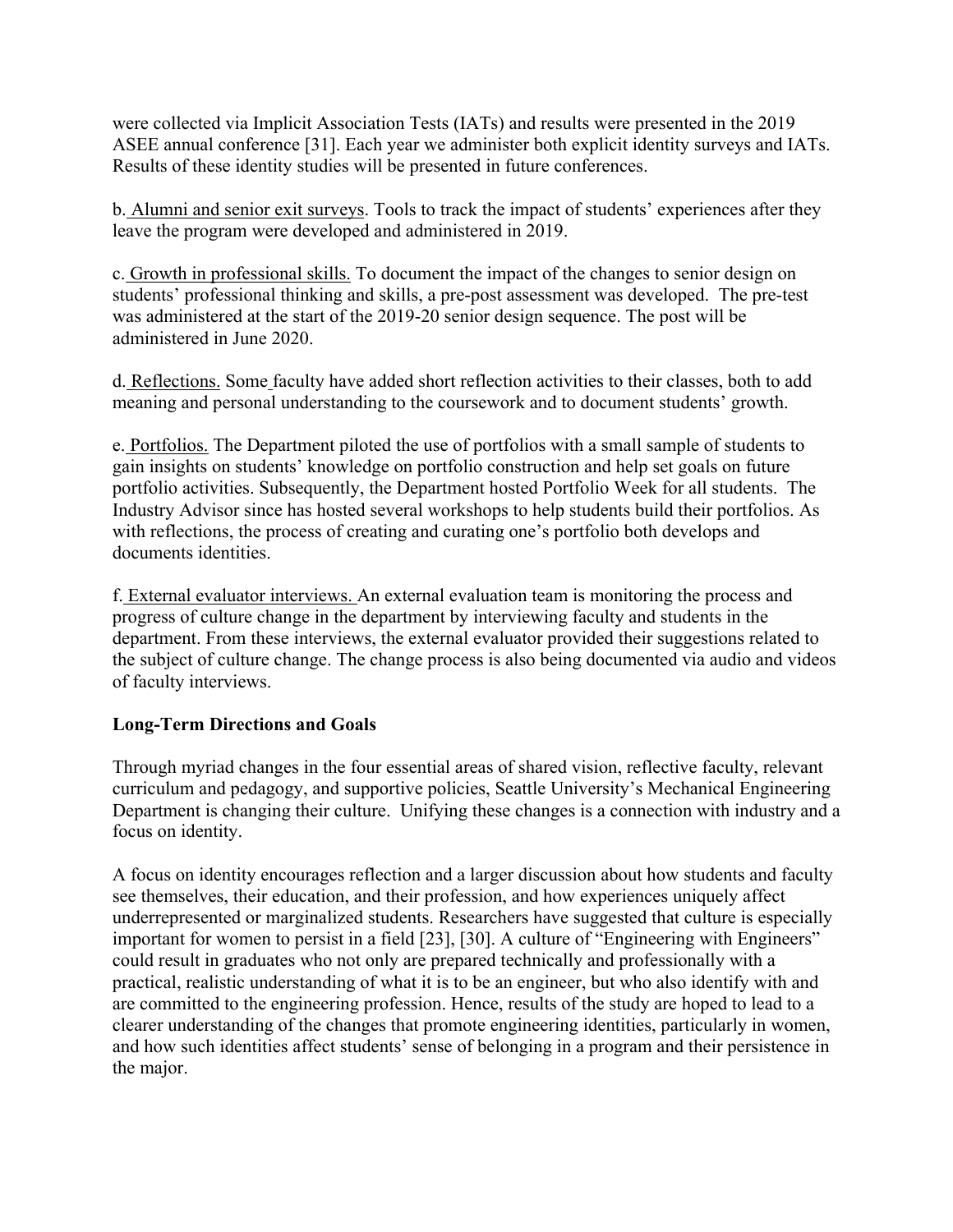were collected via Implicit Association Tests (IATs) and results were presented in the 2019 ASEE annual conference [31]. Each year we administer both explicit identity surveys and IATs. Results of these identity studies will be presented in future conferences.

b. Alumni and senior exit surveys. Tools to track the impact of students' experiences after they leave the program were developed and administered in 2019.

c. Growth in professional skills. To document the impact of the changes to senior design on students' professional thinking and skills, a pre-post assessment was developed. The pre-test was administered at the start of the 2019-20 senior design sequence. The post will be administered in June 2020.

d. Reflections. Some faculty have added short reflection activities to their classes, both to add meaning and personal understanding to the coursework and to document students' growth.

e. Portfolios. The Department piloted the use of portfolios with a small sample of students to gain insights on students' knowledge on portfolio construction and help set goals on future portfolio activities. Subsequently, the Department hosted Portfolio Week for all students. The Industry Advisor since has hosted several workshops to help students build their portfolios. As with reflections, the process of creating and curating one's portfolio both develops and documents identities.

f. External evaluator interviews. An external evaluation team is monitoring the process and progress of culture change in the department by interviewing faculty and students in the department. From these interviews, the external evaluator provided their suggestions related to the subject of culture change. The change process is also being documented via audio and videos of faculty interviews.

### **Long-Term Directions and Goals**

Through myriad changes in the four essential areas of shared vision, reflective faculty, relevant curriculum and pedagogy, and supportive policies, Seattle University's Mechanical Engineering Department is changing their culture. Unifying these changes is a connection with industry and a focus on identity.

A focus on identity encourages reflection and a larger discussion about how students and faculty see themselves, their education, and their profession, and how experiences uniquely affect underrepresented or marginalized students. Researchers have suggested that culture is especially important for women to persist in a field [23], [30]. A culture of "Engineering with Engineers" could result in graduates who not only are prepared technically and professionally with a practical, realistic understanding of what it is to be an engineer, but who also identify with and are committed to the engineering profession. Hence, results of the study are hoped to lead to a clearer understanding of the changes that promote engineering identities, particularly in women, and how such identities affect students' sense of belonging in a program and their persistence in the major.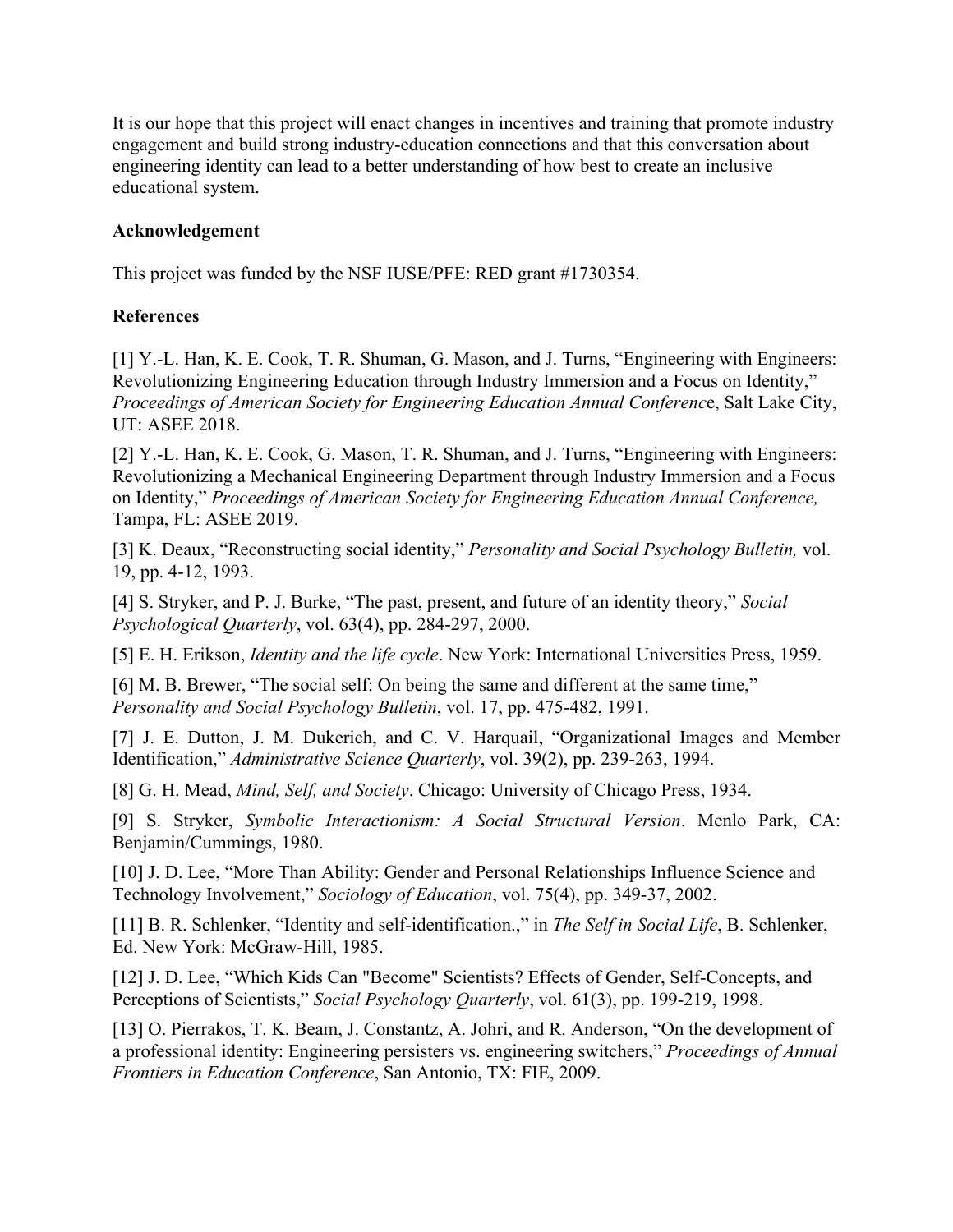It is our hope that this project will enact changes in incentives and training that promote industry engagement and build strong industry-education connections and that this conversation about engineering identity can lead to a better understanding of how best to create an inclusive educational system.

#### **Acknowledgement**

This project was funded by the NSF IUSE/PFE: RED grant #1730354.

#### **References**

[1] Y.-L. Han, K. E. Cook, T. R. Shuman, G. Mason, and J. Turns, "Engineering with Engineers: Revolutionizing Engineering Education through Industry Immersion and a Focus on Identity," *Proceedings of American Society for Engineering Education Annual Conferenc*e, Salt Lake City, UT: ASEE 2018.

[2] Y.-L. Han, K. E. Cook, G. Mason, T. R. Shuman, and J. Turns, "Engineering with Engineers: Revolutionizing a Mechanical Engineering Department through Industry Immersion and a Focus on Identity," *Proceedings of American Society for Engineering Education Annual Conference,* Tampa, FL: ASEE 2019.

[3] K. Deaux, "Reconstructing social identity," *Personality and Social Psychology Bulletin,* vol. 19, pp. 4-12, 1993.

[4] S. Stryker, and P. J. Burke, "The past, present, and future of an identity theory," *Social Psychological Quarterly*, vol. 63(4), pp. 284-297, 2000.

[5] E. H. Erikson, *Identity and the life cycle*. New York: International Universities Press, 1959.

[6] M. B. Brewer, "The social self: On being the same and different at the same time," *Personality and Social Psychology Bulletin*, vol. 17, pp. 475-482, 1991.

[7] J. E. Dutton, J. M. Dukerich, and C. V. Harquail, "Organizational Images and Member Identification," *Administrative Science Quarterly*, vol. 39(2), pp. 239-263, 1994.

[8] G. H. Mead, *Mind, Self, and Society*. Chicago: University of Chicago Press, 1934.

[9] S. Stryker, *Symbolic Interactionism: A Social Structural Version*. Menlo Park, CA: Benjamin/Cummings, 1980.

[10] J. D. Lee, "More Than Ability: Gender and Personal Relationships Influence Science and Technology Involvement," *Sociology of Education*, vol. 75(4), pp. 349-37, 2002.

[11] B. R. Schlenker, "Identity and self-identification.," in *The Self in Social Life*, B. Schlenker, Ed. New York: McGraw-Hill, 1985.

[12] J. D. Lee, "Which Kids Can "Become" Scientists? Effects of Gender, Self-Concepts, and Perceptions of Scientists," *Social Psychology Quarterly*, vol. 61(3), pp. 199-219, 1998.

[13] O. Pierrakos, T. K. Beam, J. Constantz, A. Johri, and R. Anderson, "On the development of a professional identity: Engineering persisters vs. engineering switchers," *Proceedings of Annual Frontiers in Education Conference*, San Antonio, TX: FIE, 2009.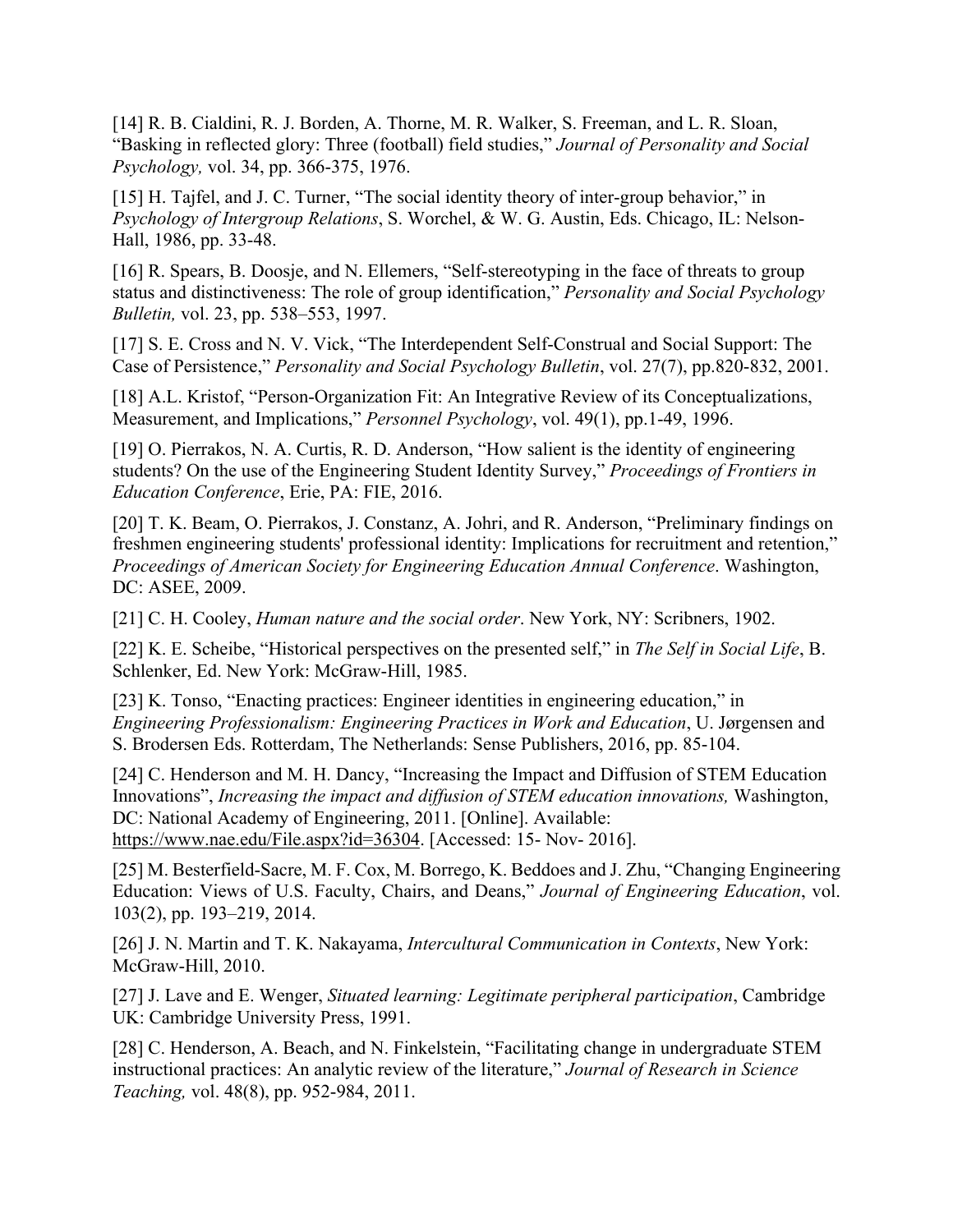[14] R. B. Cialdini, R. J. Borden, A. Thorne, M. R. Walker, S. Freeman, and L. R. Sloan, "Basking in reflected glory: Three (football) field studies," *Journal of Personality and Social Psychology,* vol. 34, pp. 366-375, 1976.

[15] H. Tajfel, and J. C. Turner, "The social identity theory of inter-group behavior," in *Psychology of Intergroup Relations*, S. Worchel, & W. G. Austin, Eds. Chicago, IL: Nelson-Hall, 1986, pp. 33-48.

[16] R. Spears, B. Doosje, and N. Ellemers, "Self-stereotyping in the face of threats to group status and distinctiveness: The role of group identification," *Personality and Social Psychology Bulletin,* vol. 23, pp. 538–553, 1997.

[17] S. E. Cross and N. V. Vick, "The Interdependent Self-Construal and Social Support: The Case of Persistence," *Personality and Social Psychology Bulletin*, vol. 27(7), pp.820-832, 2001.

[18] A.L. Kristof, "Person-Organization Fit: An Integrative Review of its Conceptualizations, Measurement, and Implications," *Personnel Psychology*, vol. 49(1), pp.1-49, 1996.

[19] O. Pierrakos, N. A. Curtis, R. D. Anderson, "How salient is the identity of engineering students? On the use of the Engineering Student Identity Survey," *Proceedings of Frontiers in Education Conference*, Erie, PA: FIE, 2016.

[20] T. K. Beam, O. Pierrakos, J. Constanz, A. Johri, and R. Anderson, "Preliminary findings on freshmen engineering students' professional identity: Implications for recruitment and retention," *Proceedings of American Society for Engineering Education Annual Conference*. Washington, DC: ASEE, 2009.

[21] C. H. Cooley, *Human nature and the social order*. New York, NY: Scribners, 1902.

[22] K. E. Scheibe, "Historical perspectives on the presented self," in *The Self in Social Life*, B. Schlenker, Ed. New York: McGraw-Hill, 1985.

[23] K. Tonso, "Enacting practices: Engineer identities in engineering education," in *Engineering Professionalism: Engineering Practices in Work and Education*, U. Jørgensen and S. Brodersen Eds. Rotterdam, The Netherlands: Sense Publishers, 2016, pp. 85-104.

[24] C. Henderson and M. H. Dancy, "Increasing the Impact and Diffusion of STEM Education Innovations", *Increasing the impact and diffusion of STEM education innovations,* Washington, DC: National Academy of Engineering, 2011. [Online]. Available: https://www.nae.edu/File.aspx?id=36304. [Accessed: 15- Nov- 2016].

[25] M. Besterfield-Sacre, M. F. Cox, M. Borrego, K. Beddoes and J. Zhu, "Changing Engineering Education: Views of U.S. Faculty, Chairs, and Deans," *Journal of Engineering Education*, vol. 103(2), pp. 193–219, 2014.

[26] J. N. Martin and T. K. Nakayama, *Intercultural Communication in Contexts*, New York: McGraw-Hill, 2010.

[27] J. Lave and E. Wenger, *Situated learning: Legitimate peripheral participation*, Cambridge UK: Cambridge University Press, 1991.

[28] C. Henderson, A. Beach, and N. Finkelstein, "Facilitating change in undergraduate STEM instructional practices: An analytic review of the literature," *Journal of Research in Science Teaching,* vol. 48(8), pp. 952-984, 2011.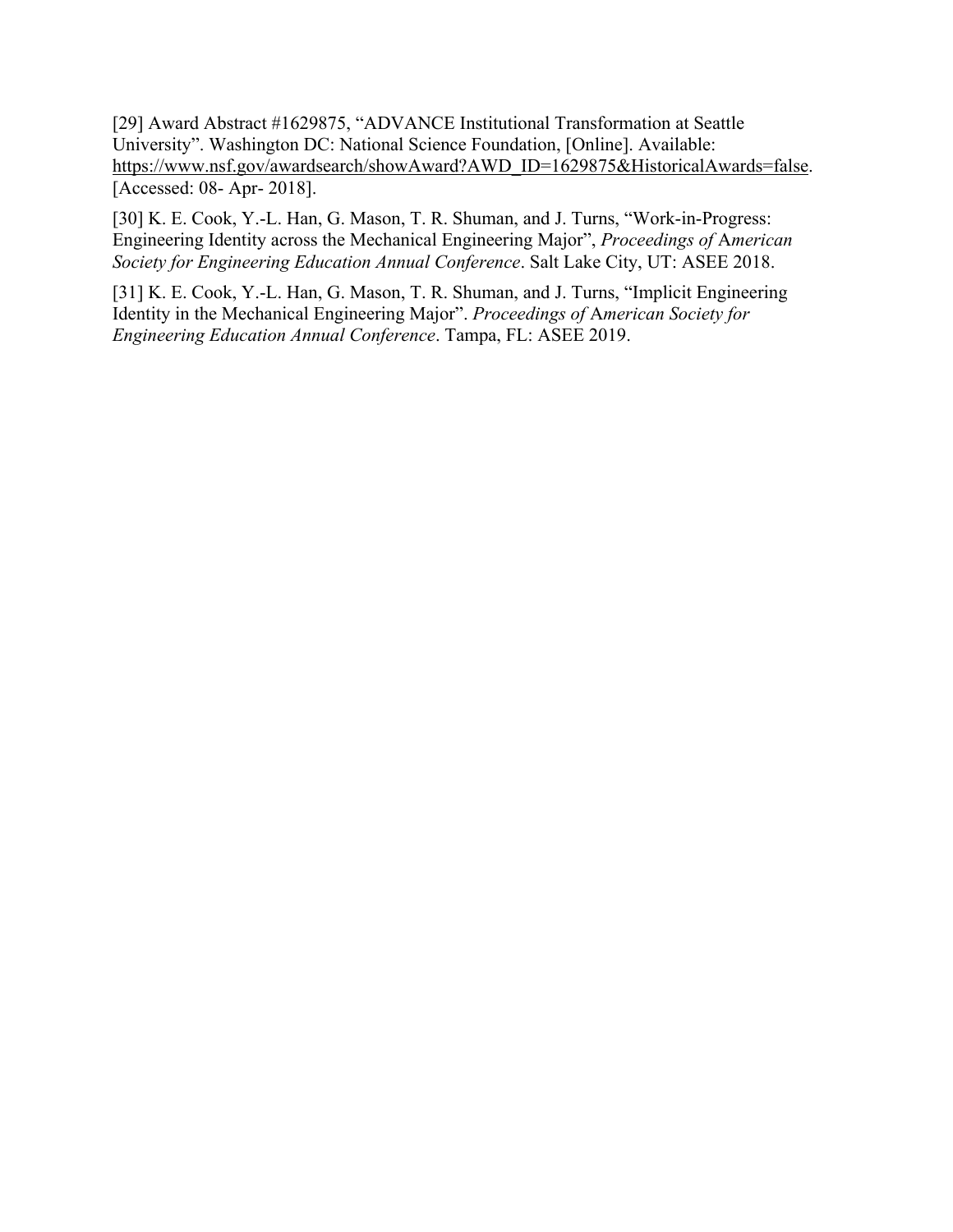[29] Award Abstract #1629875, "ADVANCE Institutional Transformation at Seattle University". Washington DC: National Science Foundation, [Online]. Available: https://www.nsf.gov/awardsearch/showAward?AWD\_ID=1629875&HistoricalAwards=false. [Accessed: 08- Apr- 2018].

[30] K. E. Cook, Y.-L. Han, G. Mason, T. R. Shuman, and J. Turns, "Work-in-Progress: Engineering Identity across the Mechanical Engineering Major", *Proceedings of* A*merican Society for Engineering Education Annual Conference*. Salt Lake City, UT: ASEE 2018.

[31] K. E. Cook, Y.-L. Han, G. Mason, T. R. Shuman, and J. Turns, "Implicit Engineering Identity in the Mechanical Engineering Major". *Proceedings of* A*merican Society for Engineering Education Annual Conference*. Tampa, FL: ASEE 2019.